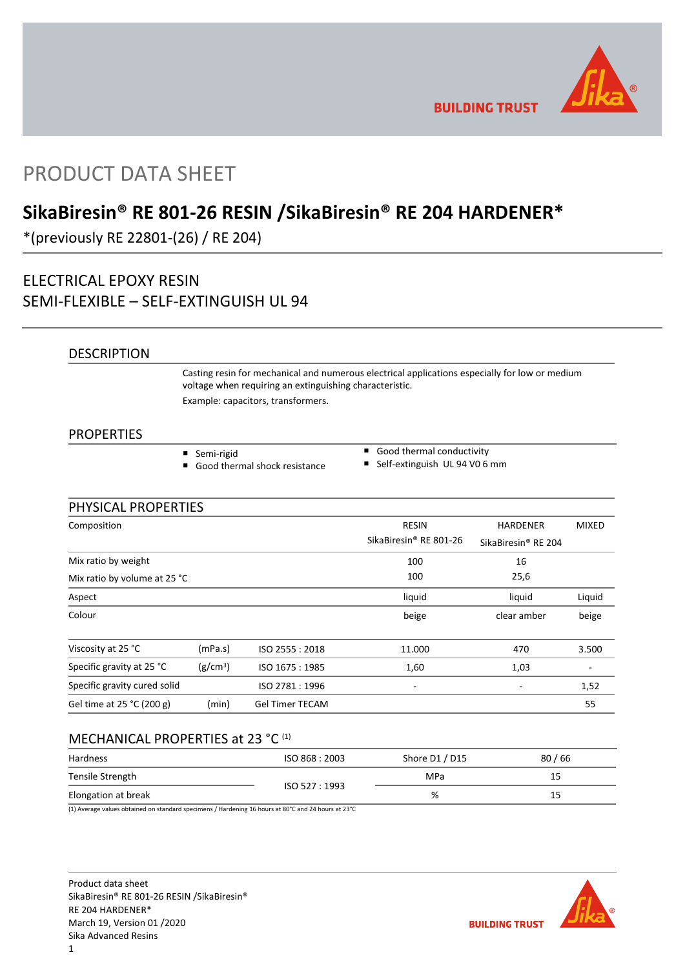

**BUILDING TRUST** 

# PRODUCT DATA SHEET

# **SikaBiresin® RE 801-26 RESIN /SikaBiresin® RE 204 HARDENER\***

\*(previously RE 22801-(26) / RE 204)

## ELECTRICAL EPOXY RESIN SEMI-FLEXIBLE – SELF-EXTINGUISH UL 94

## **DESCRIPTION**

Casting resin for mechanical and numerous electrical applications especially for low or medium voltage when requiring an extinguishing characteristic. Example: capacitors, transformers.

## **PROPERTIES**

- Semi-rigid
- Good thermal shock resistance
- Good thermal conductivity
- Self-extinguish UL 94 V0 6 mm

## PHYSICAL PROPERTIES

| Composition                  |                      |                        | <b>RESIN</b>           | <b>HARDENER</b>                 | <b>MIXED</b> |  |  |
|------------------------------|----------------------|------------------------|------------------------|---------------------------------|--------------|--|--|
|                              |                      |                        | SikaBiresin® RE 801-26 | SikaBiresin <sup>®</sup> RE 204 |              |  |  |
| Mix ratio by weight          |                      |                        | 100                    | 16                              |              |  |  |
| Mix ratio by volume at 25 °C |                      |                        | 100                    | 25,6                            |              |  |  |
| Aspect                       |                      |                        | liquid                 | liquid                          | Liquid       |  |  |
| Colour                       |                      |                        | beige                  | clear amber                     | beige        |  |  |
| Viscosity at 25 °C           | (mPa.s)              | ISO 2555: 2018         | 11.000                 | 470                             | 3.500        |  |  |
| Specific gravity at 25 °C    | (g/cm <sup>3</sup> ) | ISO 1675: 1985         | 1,60                   | 1,03                            |              |  |  |
| Specific gravity cured solid |                      | ISO 2781: 1996         | -                      |                                 | 1,52         |  |  |
| Gel time at 25 °C (200 g)    | (min)                | <b>Gel Timer TECAM</b> |                        |                                 | 55           |  |  |

## MECHANICAL PROPERTIES at 23 °C (1)

| Hardness            | ISO 868: 2003 | Shore D1 / D15 | 80/66 |
|---------------------|---------------|----------------|-------|
| Tensile Strength    |               | MPa            | 15    |
| Elongation at break | ISO 527: 1993 | %              | 15    |

(1) Average values obtained on standard specimens / Hardening 16 hours at 80°C and 24 hours at 23°C

Product data sheet SikaBiresin® RE 801-26 RESIN /SikaBiresin® RE 204 HARDENER\* March 19, Version 01 /2020 Sika Advanced Resins

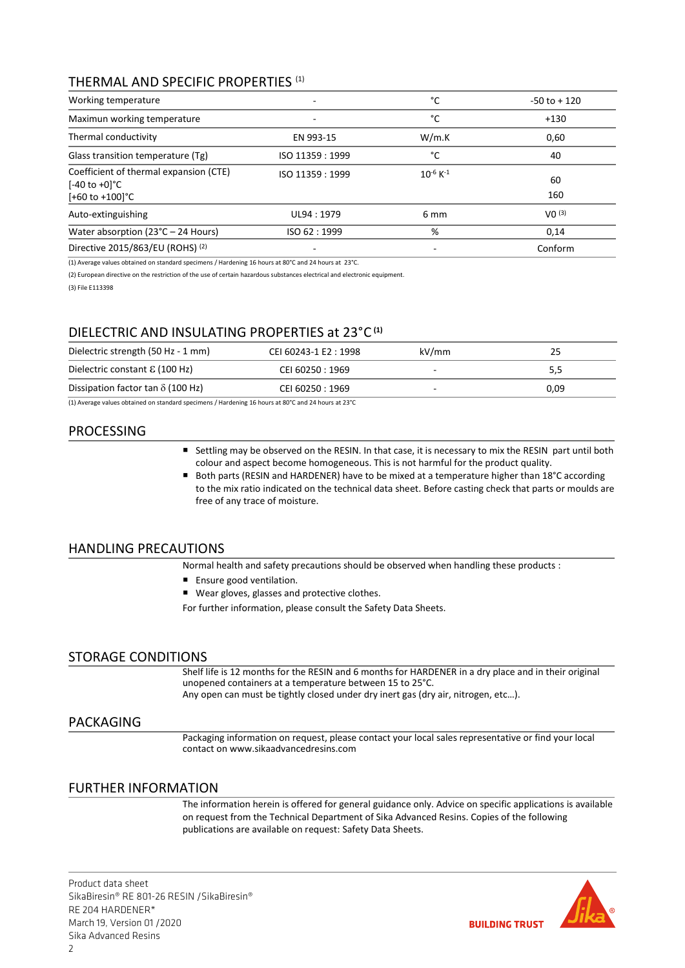## THERMAL AND SPECIFIC PROPERTIES (1)

| Working temperature                                                                                |                          | °C                        | $-50$ to $+120$   |
|----------------------------------------------------------------------------------------------------|--------------------------|---------------------------|-------------------|
| Maximun working temperature                                                                        | $\overline{\phantom{0}}$ | °C                        | $+130$            |
| Thermal conductivity                                                                               | EN 993-15                | W/m.K                     | 0,60              |
| Glass transition temperature (Tg)                                                                  | ISO 11359 : 1999         | °C                        | 40                |
| Coefficient of thermal expansion (CTE)<br>$[-40 \text{ to } +0]$ °C<br>$[-60 \text{ to } +100]$ °C | ISO 11359: 1999          | $10^{-6}$ K <sup>-1</sup> | 60<br>160         |
| Auto-extinguishing                                                                                 | UL94: 1979               | 6 mm                      | VO <sup>(3)</sup> |
| Water absorption (23°C - 24 Hours)                                                                 | ISO 62:1999              | %                         | 0,14              |
| Directive 2015/863/EU (ROHS) (2)                                                                   |                          |                           | Conform           |

(1) Average values obtained on standard specimens / Hardening 16 hours at 80°C and 24 hours at 23°C.

(2) European directive on the restriction of the use of certain hazardous substances electrical and electronic equipment.

(3) File E113398

## DIELECTRIC AND INSULATING PROPERTIES at 23°C **(1)**

| Dielectric strength (50 Hz - 1 mm)       | CEI 60243-1 E2: 1998 | kV/mm | 25   |
|------------------------------------------|----------------------|-------|------|
| Dielectric constant $\epsilon$ (100 Hz)  | CEI 60250 : 1969     | -     | 5,5  |
| Dissipation factor tan $\delta$ (100 Hz) | CEI 60250 : 1969     |       | 0.09 |

(1) Average values obtained on standard specimens / Hardening 16 hours at 80°C and 24 hours at 23°C

## PROCESSING

- Settling may be observed on the RESIN. In that case, it is necessary to mix the RESIN part until both colour and aspect become homogeneous. This is not harmful for the product quality.
- Both parts (RESIN and HARDENER) have to be mixed at a temperature higher than 18°C according to the mix ratio indicated on the technical data sheet. Before casting check that parts or moulds are free of any trace of moisture.

## HANDLING PRECAUTIONS

Normal health and safety precautions should be observed when handling these products :

- **Ensure good ventilation.**
- Wear gloves, glasses and protective clothes.

For further information, please consult the Safety Data Sheets.

## STORAGE CONDITIONS

Shelf life is 12 months for the RESIN and 6 months for HARDENER in a dry place and in their original unopened containers at a temperature between 15 to 25°C. Any open can must be tightly closed under dry inert gas (dry air, nitrogen, etc…).

### PACKAGING

Packaging information on request, please contact your local sales representative or find your local contact on www.sikaadvancedresins.com

### FURTHER INFORMATION

The information herein is offered for general guidance only. Advice on specific applications is available on request from the Technical Department of Sika Advanced Resins. Copies of the following publications are available on request: Safety Data Sheets.

Product data sheet SikaBiresin® RE 801-26 RESIN /SikaBiresin® RE 204 HARDENER\* March 19, Version 01 /2020 Sika Advanced Resins